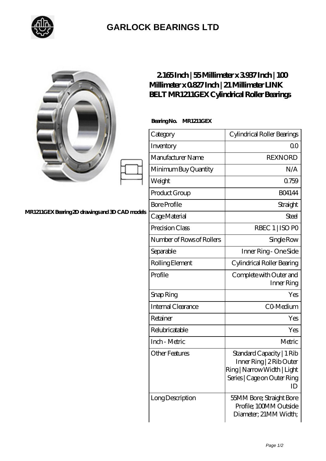

## **[GARLOCK BEARINGS LTD](https://m.letterstopriests.com)**

|                                                | $2165$ Inch   55Millimeter x 3937Inch   100<br>Millimeter x 0827 Inch   21 Millimeter LINK<br>BELT MR1211GEX Cylindrical Roller Bearings |                                                                                                                           |
|------------------------------------------------|------------------------------------------------------------------------------------------------------------------------------------------|---------------------------------------------------------------------------------------------------------------------------|
|                                                | BearingNo.<br><b>MR1211GEX</b>                                                                                                           |                                                                                                                           |
|                                                | Category                                                                                                                                 | Cylindrical Roller Bearings                                                                                               |
|                                                | Inventory                                                                                                                                | 0 <sup>0</sup>                                                                                                            |
|                                                | Manufacturer Name                                                                                                                        | <b>REXNORD</b>                                                                                                            |
|                                                | Minimum Buy Quantity                                                                                                                     | N/A                                                                                                                       |
|                                                | Weight                                                                                                                                   | Q759                                                                                                                      |
|                                                | Product Group                                                                                                                            | <b>BO4144</b>                                                                                                             |
|                                                | <b>Bore Profile</b>                                                                                                                      | Straight                                                                                                                  |
| MR1211GEXBearing 2D drawings and 3D CAD models | Cage Material                                                                                                                            | Steel                                                                                                                     |
|                                                | Precision Class                                                                                                                          | RBEC 1   ISO PO                                                                                                           |
|                                                | Number of Rows of Rollers                                                                                                                | Single Row                                                                                                                |
|                                                | Separable                                                                                                                                | Inner Ring - One Side                                                                                                     |
|                                                | Rolling Element                                                                                                                          | Cylindrical Roller Bearing                                                                                                |
|                                                | Profile                                                                                                                                  | Complete with Outer and<br>Inner Ring                                                                                     |
|                                                | Snap Ring                                                                                                                                | Yes                                                                                                                       |
|                                                | Internal Clearance                                                                                                                       | CO-Medium                                                                                                                 |
|                                                | Retainer                                                                                                                                 | Yes                                                                                                                       |
|                                                | Relubricatable                                                                                                                           | Yes                                                                                                                       |
|                                                | Inch - Metric                                                                                                                            | Metric                                                                                                                    |
|                                                | <b>Other Features</b>                                                                                                                    | Standard Capacity   1 Rib<br>Inner Ring   2 Rib Outer<br>Ring   Narrow Width   Light<br>Series   Cage on Outer Ring<br>ID |
|                                                | Long Description                                                                                                                         | 55MM Bore; Straight Bore<br>Profile; 100MM Outside<br>Diameter; 21MM Width;                                               |